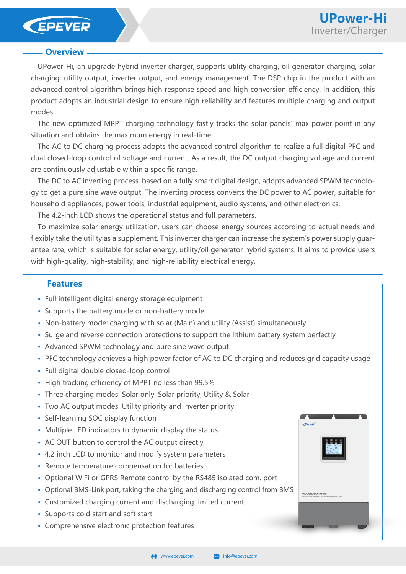### EPEVER

### **Overview**

UPower-Hi, an upgrade hybrid inverter charger, supports utility charging, oil generator charging, solar charging, utility output, inverter output, and energy management. The DSP chip in the product with an advanced control algorithm brings high response speed and high conversion efficiency. In addition, this product adopts an industrial design to ensure high reliability and features multiple charging and output modes.

The new optimized MPPT charging technology fastly tracks the solar panels' max power point in any situation and obtains the maximum energy in real-time.

The AC to DC charging process adopts the advanced control algorithm to realize a full digital PFC and dual closed-loop control of voltage and current. As a result, the DC output charging voltage and current are continuously adjustable within a specific range.

The DC to AC inverting process, based on a fully smart digital design, adopts advanced SPWM technology to get a pure sine wave output. The inverting process converts the DC power to AC power, suitable for household appliances, power tools, industrial equipment, audio systems, and other electronics.

The 4.2-inch LCD shows the operational status and full parameters.

To maximize solar energy utilization, users can choose energy sources according to actual needs and flexibly take the utility as a supplement. This inverter charger can increase the system's power supply guarantee rate, which is suitable for solar energy, utility/oil generator hybrid systems. It aims to provide users with high-quality, high-stability, and high-reliability electrical energy.

### **Features**

- **·** Full intelligent digital energy storage equipment
- **·** Supports the battery mode or non-battery mode
- **·** Non-battery mode: charging with solar (Main) and utility (Assist) simultaneously
- **·** Surge and reverse connection protections to support the lithium battery system perfectly
- **·** Advanced SPWM technology and pure sine wave output
- **·** PFC technology achieves a high power factor of AC to DC charging and reduces grid capacity usage
- **·** Full digital double closed-loop control
- **·** High tracking efficiency of MPPT no less than 99.5%
- **·** Three charging modes: Solar only, Solar priority, Utility & Solar
- **·** Two AC output modes: Utility priority and Inverter priority
- **·** Self-learning SOC display function
- **·** Multiple LED indicators to dynamic display the status
- **·** AC OUT button to control the AC output directly
- **·** 4.2 inch LCD to monitor and modify system parameters
- **·** Remote temperature compensation for batteries
- **·** Optional WiFi or GPRS Remote control by the RS485 isolated com. port
- **·** Optional BMS-Link port, taking the charging and discharging control from BMS
- **·** Customized charging current and discharging limited current
- **·** Supports cold start and soft start
- **·** Comprehensive electronic protection features

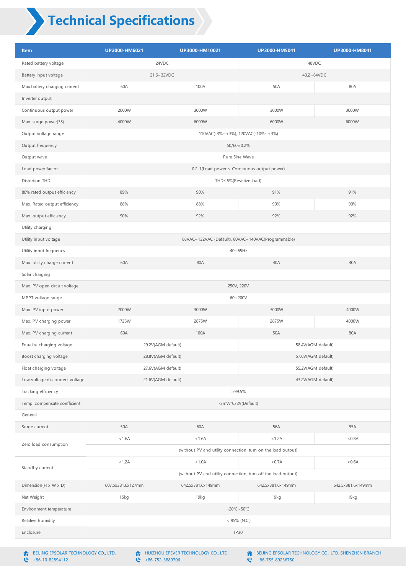# **Technical Specifications**

| Item                           | UP2000-HM6021                                                 | UP3000-HM10021    | UP3000-HM5041      | UP3000-HM8041     |  |  |
|--------------------------------|---------------------------------------------------------------|-------------------|--------------------|-------------------|--|--|
| Rated battery voltage          | 24VDC                                                         |                   | 48VDC              |                   |  |  |
| Battery input voltage          | 21.6~32VDC                                                    |                   | 43.2~64VDC         |                   |  |  |
| Max.battery charging current   | 60A                                                           | 100A              | 50A                | 80A               |  |  |
| Inverter output                |                                                               |                   |                    |                   |  |  |
| Continuous output power        | 2000W                                                         | 3000W             | 3000W              | 3000W             |  |  |
| Max. surge power(3S)           | 4000W                                                         | 6000W             | 6000W              | 6000W             |  |  |
| Output voltage range           | 110VAC( $-3\% \sim +3\%$ ), 120VAC( $-10\% \sim +3\%$ )       |                   |                    |                   |  |  |
| Output frequency               | 50/60±0.2%                                                    |                   |                    |                   |  |  |
| Output wave                    | Pure Sine Wave                                                |                   |                    |                   |  |  |
| Load power factor              | 0.2-1(Load power ≤ Continuous output power)                   |                   |                    |                   |  |  |
| Distortion THD                 | THD≤5%(Resistive load)                                        |                   |                    |                   |  |  |
| 80% rated output efficiency    | 89%                                                           | 90%               | 91%                | 91%               |  |  |
| Max. Rated output efficiency   | 88%                                                           | 88%               | 90%                | 90%               |  |  |
| Max. output efficiency         | 90%                                                           | 92%               | 92%                | 92%               |  |  |
| Utility charging               |                                                               |                   |                    |                   |  |  |
| Utility input voltage          | 88VAC~132VAC (Default), 80VAC~140VAC(Programmable)            |                   |                    |                   |  |  |
| Utility input frequency        | $40 \sim 65$ Hz                                               |                   |                    |                   |  |  |
| Max. utility charge current    | 60A                                                           | 80A               | 40A                | 40A               |  |  |
| Solar charging                 |                                                               |                   |                    |                   |  |  |
| Max. PV open circuit voltage   | 250V, 220V                                                    |                   |                    |                   |  |  |
| MPPT voltage range             |                                                               |                   | $60 - 200V$        |                   |  |  |
| Max. PV input power            | 2000W                                                         | 3000W             | 3000W              | 4000W             |  |  |
| Max. PV charging power         | 1725W                                                         | 2875W             | 2875W              | 4000W             |  |  |
| Max. PV charging current       | 60A                                                           | 100A              | 50A                | 80A               |  |  |
| Equalize charging voltage      | 29.2V(AGM default)<br>58.4V(AGM default)                      |                   |                    |                   |  |  |
| Boost charging voltage         | 28.8V(AGM default)<br>57.6V(AGM default)                      |                   |                    |                   |  |  |
| Float charging voltage         | 27.6V(AGM default)                                            |                   | 55.2V(AGM default) |                   |  |  |
| Low voltage disconnect voltage | 21.6V(AGM default)<br>43.2V(AGM default)                      |                   |                    |                   |  |  |
| Tracking efficiency            | $\geq 99.5\%$                                                 |                   |                    |                   |  |  |
| Temp. compensate coefficient   | -3mV/°C/2V(Default)                                           |                   |                    |                   |  |  |
| General                        |                                                               |                   |                    |                   |  |  |
| Surge current                  | 50A                                                           | 60A               | 56A                | 95A               |  |  |
| Zero load consumption          | < 1.6A                                                        | < 1.6A            | < 1.2A             | < 0.8A            |  |  |
|                                | (without PV and utility connection, turn on the load output)  |                   |                    |                   |  |  |
| Standby current                | < 1.2A                                                        | < 1.0A            | < 0.7A             | < 0.6A            |  |  |
|                                | (without PV and utility connection, turn off the load output) |                   |                    |                   |  |  |
| Dimension(H x W x D)           | 607.5x381.6x127mm                                             | 642.5x381.6x149mm | 642.5x381.6x149mm  | 642.5x381.6x149mm |  |  |
| Net Weight                     | 15kg                                                          | 19kg              | 19kg               | 19kg              |  |  |
| Environment temperature        | $-20^{\circ}$ C ~ 50 $^{\circ}$ C                             |                   |                    |                   |  |  |
| Relative humidity              | $<$ 95% (N.C.)                                                |                   |                    |                   |  |  |
| Enclosure                      | <b>IP30</b>                                                   |                   |                    |                   |  |  |